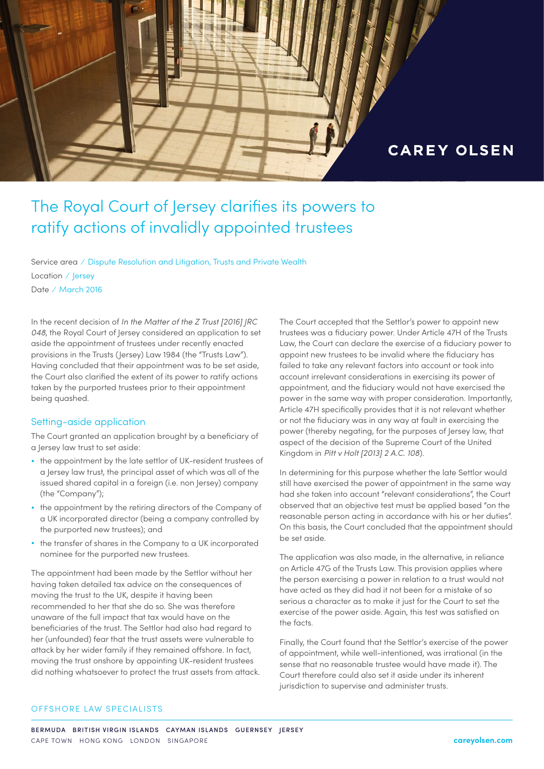

# The Royal Court of Jersey clarifies its powers to ratify actions of invalidly appointed trustees

Service area ⁄ Dispute Resolution and Litigation, Trusts and Private Wealth Location ⁄ Jersey Date ⁄ March 2016

In the recent decision of *In the Matter of the Z Trust [2016] JRC 048*, the Royal Court of Jersey considered an application to set aside the appointment of trustees under recently enacted provisions in the Trusts (Jersey) Law 1984 (the "Trusts Law"). Having concluded that their appointment was to be set aside, the Court also clarified the extent of its power to ratify actions taken by the purported trustees prior to their appointment being quashed.

#### Setting-aside application

The Court granted an application brought by a beneficiary of a Jersey law trust to set aside:

- the appointment by the late settlor of UK-resident trustees of a Jersey law trust, the principal asset of which was all of the issued shared capital in a foreign (i.e. non Jersey) company (the "Company");
- the appointment by the retiring directors of the Company of a UK incorporated director (being a company controlled by the purported new trustees); and
- the transfer of shares in the Company to a UK incorporated nominee for the purported new trustees.

The appointment had been made by the Settlor without her having taken detailed tax advice on the consequences of moving the trust to the UK, despite it having been recommended to her that she do so. She was therefore unaware of the full impact that tax would have on the beneficiaries of the trust. The Settlor had also had regard to her (unfounded) fear that the trust assets were vulnerable to attack by her wider family if they remained offshore. In fact, moving the trust onshore by appointing UK-resident trustees did nothing whatsoever to protect the trust assets from attack.

The Court accepted that the Settlor's power to appoint new trustees was a fiduciary power. Under Article 47H of the Trusts Law, the Court can declare the exercise of a fiduciary power to appoint new trustees to be invalid where the fiduciary has failed to take any relevant factors into account or took into account irrelevant considerations in exercising its power of appointment, and the fiduciary would not have exercised the power in the same way with proper consideration. Importantly, Article 47H specifically provides that it is not relevant whether or not the fiduciary was in any way at fault in exercising the power (thereby negating, for the purposes of Jersey law, that aspect of the decision of the Supreme Court of the United Kingdom in *Pitt v Holt [2013] 2 A.C. 108*).

In determining for this purpose whether the late Settlor would still have exercised the power of appointment in the same way had she taken into account "relevant considerations", the Court observed that an objective test must be applied based "on the reasonable person acting in accordance with his or her duties". On this basis, the Court concluded that the appointment should be set aside.

The application was also made, in the alternative, in reliance on Article 47G of the Trusts Law. This provision applies where the person exercising a power in relation to a trust would not have acted as they did had it not been for a mistake of so serious a character as to make it just for the Court to set the exercise of the power aside. Again, this test was satisfied on the facts.

Finally, the Court found that the Settlor's exercise of the power of appointment, while well-intentioned, was irrational (in the sense that no reasonable trustee would have made it). The Court therefore could also set it aside under its inherent jurisdiction to supervise and administer trusts.

#### OFFSHORE LAW SPECIALISTS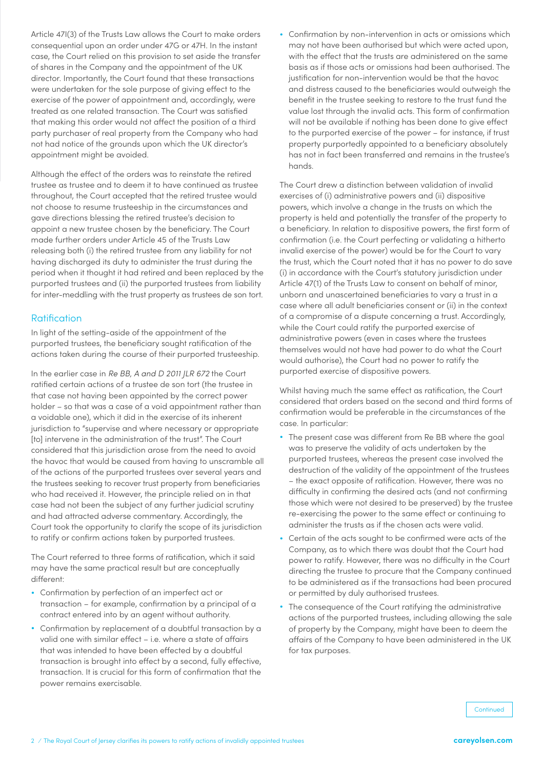Article 47I(3) of the Trusts Law allows the Court to make orders consequential upon an order under 47G or 47H. In the instant case, the Court relied on this provision to set aside the transfer of shares in the Company and the appointment of the UK director. Importantly, the Court found that these transactions were undertaken for the sole purpose of giving effect to the exercise of the power of appointment and, accordingly, were treated as one related transaction. The Court was satisfied that making this order would not affect the position of a third party purchaser of real property from the Company who had not had notice of the grounds upon which the UK director's appointment might be avoided.

Although the effect of the orders was to reinstate the retired trustee as trustee and to deem it to have continued as trustee throughout, the Court accepted that the retired trustee would not choose to resume trusteeship in the circumstances and gave directions blessing the retired trustee's decision to appoint a new trustee chosen by the beneficiary. The Court made further orders under Article 45 of the Trusts Law releasing both (i) the retired trustee from any liability for not having discharged its duty to administer the trust during the period when it thought it had retired and been replaced by the purported trustees and (ii) the purported trustees from liability for inter-meddling with the trust property as trustees de son tort.

# Ratification

In light of the setting-aside of the appointment of the purported trustees, the beneficiary sought ratification of the actions taken during the course of their purported trusteeship.

In the earlier case in *Re BB, A and D 2011 JLR 672* the Court ratified certain actions of a trustee de son tort (the trustee in that case not having been appointed by the correct power holder – so that was a case of a void appointment rather than a voidable one), which it did in the exercise of its inherent jurisdiction to "supervise and where necessary or appropriate [to] intervene in the administration of the trust". The Court considered that this jurisdiction arose from the need to avoid the havoc that would be caused from having to unscramble all of the actions of the purported trustees over several years and the trustees seeking to recover trust property from beneficiaries who had received it. However, the principle relied on in that case had not been the subject of any further judicial scrutiny and had attracted adverse commentary. Accordingly, the Court took the opportunity to clarify the scope of its jurisdiction to ratify or confirm actions taken by purported trustees.

The Court referred to three forms of ratification, which it said may have the same practical result but are conceptually different:

- Confirmation by perfection of an imperfect act or transaction – for example, confirmation by a principal of a contract entered into by an agent without authority.
- Confirmation by replacement of a doubtful transaction by a valid one with similar effect – i.e. where a state of affairs that was intended to have been effected by a doubtful transaction is brought into effect by a second, fully effective, transaction. It is crucial for this form of confirmation that the power remains exercisable.

• Confirmation by non-intervention in acts or omissions which may not have been authorised but which were acted upon, with the effect that the trusts are administered on the same basis as if those acts or omissions had been authorised. The justification for non-intervention would be that the havoc and distress caused to the beneficiaries would outweigh the benefit in the trustee seeking to restore to the trust fund the value lost through the invalid acts. This form of confirmation will not be available if nothing has been done to give effect to the purported exercise of the power – for instance, if trust property purportedly appointed to a beneficiary absolutely has not in fact been transferred and remains in the trustee's hands.

The Court drew a distinction between validation of invalid exercises of (i) administrative powers and (ii) dispositive powers, which involve a change in the trusts on which the property is held and potentially the transfer of the property to a beneficiary. In relation to dispositive powers, the first form of confirmation (i.e. the Court perfecting or validating a hitherto invalid exercise of the power) would be for the Court to vary the trust, which the Court noted that it has no power to do save (i) in accordance with the Court's statutory jurisdiction under Article 47(1) of the Trusts Law to consent on behalf of minor, unborn and unascertained beneficiaries to vary a trust in a case where all adult beneficiaries consent or (ii) in the context of a compromise of a dispute concerning a trust. Accordingly, while the Court could ratify the purported exercise of administrative powers (even in cases where the trustees themselves would not have had power to do what the Court would authorise), the Court had no power to ratify the purported exercise of dispositive powers.

Whilst having much the same effect as ratification, the Court considered that orders based on the second and third forms of confirmation would be preferable in the circumstances of the case. In particular:

- The present case was different from Re BB where the goal was to preserve the validity of acts undertaken by the purported trustees, whereas the present case involved the destruction of the validity of the appointment of the trustees – the exact opposite of ratification. However, there was no difficulty in confirming the desired acts (and not confirming those which were not desired to be preserved) by the trustee re-exercising the power to the same effect or continuing to administer the trusts as if the chosen acts were valid.
- Certain of the acts sought to be confirmed were acts of the Company, as to which there was doubt that the Court had power to ratify. However, there was no difficulty in the Court directing the trustee to procure that the Company continued to be administered as if the transactions had been procured or permitted by duly authorised trustees.
- The consequence of the Court ratifying the administrative actions of the purported trustees, including allowing the sale of property by the Company, might have been to deem the affairs of the Company to have been administered in the UK for tax purposes.

**Continued**